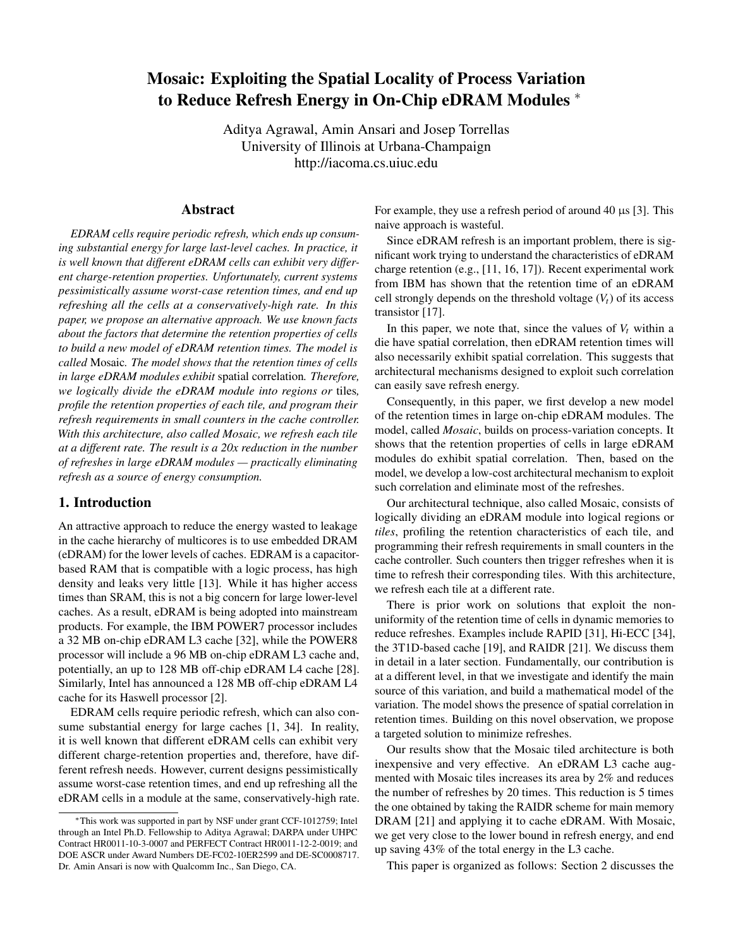# Mosaic: Exploiting the Spatial Locality of Process Variation to Reduce Refresh Energy in On-Chip eDRAM Modules ∗

Aditya Agrawal, Amin Ansari and Josep Torrellas University of Illinois at Urbana-Champaign http://iacoma.cs.uiuc.edu

# Abstract

*EDRAM cells require periodic refresh, which ends up consuming substantial energy for large last-level caches. In practice, it is well known that different eDRAM cells can exhibit very different charge-retention properties. Unfortunately, current systems pessimistically assume worst-case retention times, and end up refreshing all the cells at a conservatively-high rate. In this paper, we propose an alternative approach. We use known facts about the factors that determine the retention properties of cells to build a new model of eDRAM retention times. The model is called* Mosaic*. The model shows that the retention times of cells in large eDRAM modules exhibit* spatial correlation*. Therefore, we logically divide the eDRAM module into regions or* tiles*, profile the retention properties of each tile, and program their refresh requirements in small counters in the cache controller. With this architecture, also called Mosaic, we refresh each tile at a different rate. The result is a 20x reduction in the number of refreshes in large eDRAM modules — practically eliminating refresh as a source of energy consumption.*

# 1. Introduction

An attractive approach to reduce the energy wasted to leakage in the cache hierarchy of multicores is to use embedded DRAM (eDRAM) for the lower levels of caches. EDRAM is a capacitorbased RAM that is compatible with a logic process, has high density and leaks very little [13]. While it has higher access times than SRAM, this is not a big concern for large lower-level caches. As a result, eDRAM is being adopted into mainstream products. For example, the IBM POWER7 processor includes a 32 MB on-chip eDRAM L3 cache [32], while the POWER8 processor will include a 96 MB on-chip eDRAM L3 cache and, potentially, an up to 128 MB off-chip eDRAM L4 cache [28]. Similarly, Intel has announced a 128 MB off-chip eDRAM L4 cache for its Haswell processor [2].

EDRAM cells require periodic refresh, which can also consume substantial energy for large caches [1, 34]. In reality, it is well known that different eDRAM cells can exhibit very different charge-retention properties and, therefore, have different refresh needs. However, current designs pessimistically assume worst-case retention times, and end up refreshing all the eDRAM cells in a module at the same, conservatively-high rate.

<sup>∗</sup>This work was supported in part by NSF under grant CCF-1012759; Intel through an Intel Ph.D. Fellowship to Aditya Agrawal; DARPA under UHPC Contract HR0011-10-3-0007 and PERFECT Contract HR0011-12-2-0019; and DOE ASCR under Award Numbers DE-FC02-10ER2599 and DE-SC0008717. Dr. Amin Ansari is now with Qualcomm Inc., San Diego, CA.

For example, they use a refresh period of around 40  $\mu$ s [3]. This naive approach is wasteful.

Since eDRAM refresh is an important problem, there is significant work trying to understand the characteristics of eDRAM charge retention (e.g., [11, 16, 17]). Recent experimental work from IBM has shown that the retention time of an eDRAM cell strongly depends on the threshold voltage  $(V_t)$  of its access transistor [17].

In this paper, we note that, since the values of  $V_t$  within a die have spatial correlation, then eDRAM retention times will also necessarily exhibit spatial correlation. This suggests that architectural mechanisms designed to exploit such correlation can easily save refresh energy.

Consequently, in this paper, we first develop a new model of the retention times in large on-chip eDRAM modules. The model, called *Mosaic*, builds on process-variation concepts. It shows that the retention properties of cells in large eDRAM modules do exhibit spatial correlation. Then, based on the model, we develop a low-cost architectural mechanism to exploit such correlation and eliminate most of the refreshes.

Our architectural technique, also called Mosaic, consists of logically dividing an eDRAM module into logical regions or *tiles*, profiling the retention characteristics of each tile, and programming their refresh requirements in small counters in the cache controller. Such counters then trigger refreshes when it is time to refresh their corresponding tiles. With this architecture, we refresh each tile at a different rate.

There is prior work on solutions that exploit the nonuniformity of the retention time of cells in dynamic memories to reduce refreshes. Examples include RAPID [31], Hi-ECC [34], the 3T1D-based cache [19], and RAIDR [21]. We discuss them in detail in a later section. Fundamentally, our contribution is at a different level, in that we investigate and identify the main source of this variation, and build a mathematical model of the variation. The model shows the presence of spatial correlation in retention times. Building on this novel observation, we propose a targeted solution to minimize refreshes.

Our results show that the Mosaic tiled architecture is both inexpensive and very effective. An eDRAM L3 cache augmented with Mosaic tiles increases its area by 2% and reduces the number of refreshes by 20 times. This reduction is 5 times the one obtained by taking the RAIDR scheme for main memory DRAM [21] and applying it to cache eDRAM. With Mosaic, we get very close to the lower bound in refresh energy, and end up saving 43% of the total energy in the L3 cache.

This paper is organized as follows: Section 2 discusses the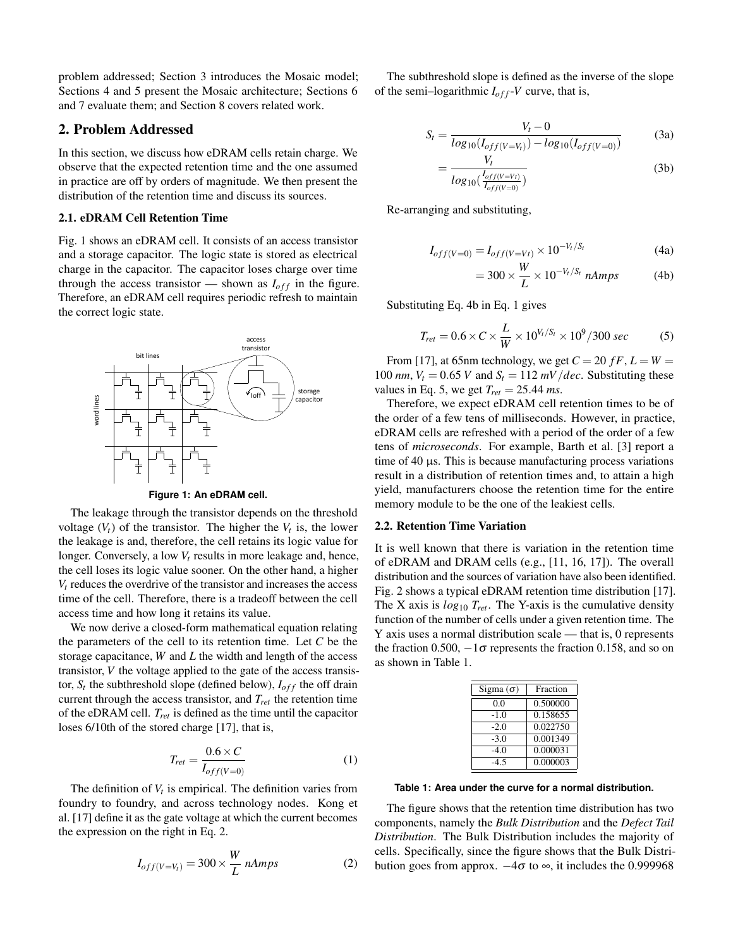problem addressed; Section 3 introduces the Mosaic model; Sections 4 and 5 present the Mosaic architecture; Sections 6 and 7 evaluate them; and Section 8 covers related work.

# 2. Problem Addressed

In this section, we discuss how eDRAM cells retain charge. We observe that the expected retention time and the one assumed in practice are off by orders of magnitude. We then present the distribution of the retention time and discuss its sources.

# 2.1. eDRAM Cell Retention Time

Fig. 1 shows an eDRAM cell. It consists of an access transistor and a storage capacitor. The logic state is stored as electrical charge in the capacitor. The capacitor loses charge over time through the access transistor — shown as  $I_{off}$  in the figure. Therefore, an eDRAM cell requires periodic refresh to maintain the correct logic state.



**Figure 1: An eDRAM cell.**

The leakage through the transistor depends on the threshold voltage  $(V_t)$  of the transistor. The higher the  $V_t$  is, the lower the leakage is and, therefore, the cell retains its logic value for longer. Conversely, a low *V<sup>t</sup>* results in more leakage and, hence, the cell loses its logic value sooner. On the other hand, a higher  $V_t$  reduces the overdrive of the transistor and increases the access time of the cell. Therefore, there is a tradeoff between the cell access time and how long it retains its value.

We now derive a closed-form mathematical equation relating the parameters of the cell to its retention time. Let *C* be the storage capacitance, *W* and *L* the width and length of the access transistor, *V* the voltage applied to the gate of the access transistor,  $S_t$  the subthreshold slope (defined below),  $I_{off}$  the off drain current through the access transistor, and *Tret* the retention time of the eDRAM cell. *Tret* is defined as the time until the capacitor loses 6/10th of the stored charge [17], that is,

$$
T_{ret} = \frac{0.6 \times C}{I_{off}(v=0)}
$$
\n<sup>(1)</sup>

The definition of  $V_t$  is empirical. The definition varies from foundry to foundry, and across technology nodes. Kong et al. [17] define it as the gate voltage at which the current becomes the expression on the right in Eq. 2.

$$
I_{off(V=V_t)} = 300 \times \frac{W}{L} nAmps \tag{2}
$$

The subthreshold slope is defined as the inverse of the slope of the semi-logarithmic  $I_{off}$ -*V* curve, that is,

$$
S_t = \frac{V_t - 0}{log_{10}(I_{off(V=V_t)}) - log_{10}(I_{off(V=0)})}
$$
(3a)

$$
=\frac{V_t}{log_{10}\left(\frac{I_{off(V=Vt)}}{I_{off(V=0)}}\right)}
$$
(3b)

Re-arranging and substituting,

$$
I_{off(V=0)} = I_{off(V=Vt)} \times 10^{-V_t/S_t}
$$
 (4a)

$$
=300\times\frac{W}{L}\times10^{-V_t/S_t}~nAmps\tag{4b}
$$

Substituting Eq. 4b in Eq. 1 gives

$$
T_{ret} = 0.6 \times C \times \frac{L}{W} \times 10^{V_t/S_t} \times 10^9 / 300 \text{ sec}
$$
 (5)

From [17], at 65nm technology, we get  $C = 20$   $fF$ ,  $L = W =$ 100 *nm*,  $V_t = 0.65$  *V* and  $S_t = 112$  *mV dec*. Substituting these values in Eq. 5, we get  $T_{ret} = 25.44$  ms.

Therefore, we expect eDRAM cell retention times to be of the order of a few tens of milliseconds. However, in practice, eDRAM cells are refreshed with a period of the order of a few tens of *microseconds*. For example, Barth et al. [3] report a time of  $40 \mu s$ . This is because manufacturing process variations result in a distribution of retention times and, to attain a high yield, manufacturers choose the retention time for the entire memory module to be the one of the leakiest cells.

### 2.2. Retention Time Variation

It is well known that there is variation in the retention time of eDRAM and DRAM cells (e.g., [11, 16, 17]). The overall distribution and the sources of variation have also been identified. Fig. 2 shows a typical eDRAM retention time distribution [17]. The X axis is *log*<sup>10</sup> *Tret* . The Y-axis is the cumulative density function of the number of cells under a given retention time. The Y axis uses a normal distribution scale — that is, 0 represents the fraction 0.500,  $-1\sigma$  represents the fraction 0.158, and so on as shown in Table 1.

| Fraction |
|----------|
| 0.500000 |
| 0.158655 |
| 0.022750 |
| 0.001349 |
| 0.000031 |
| 0.000003 |
|          |

**Table 1: Area under the curve for a normal distribution.**

The figure shows that the retention time distribution has two components, namely the *Bulk Distribution* and the *Defect Tail Distribution*. The Bulk Distribution includes the majority of cells. Specifically, since the figure shows that the Bulk Distribution goes from approx.  $-4\sigma$  to  $\infty$ , it includes the 0.999968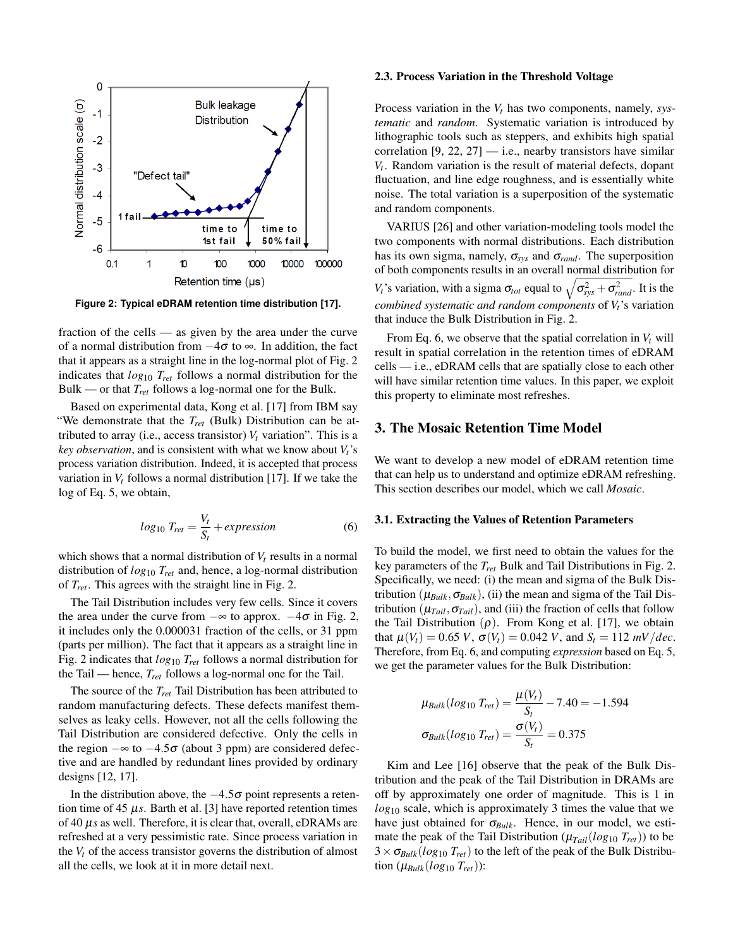

**Figure 2: Typical eDRAM retention time distribution [17].**

fraction of the cells — as given by the area under the curve of a normal distribution from  $-4\sigma$  to  $\infty$ . In addition, the fact that it appears as a straight line in the log-normal plot of Fig. 2 indicates that *log*<sup>10</sup> *Tret* follows a normal distribution for the Bulk — or that *Tret* follows a log-normal one for the Bulk.

Based on experimental data, Kong et al. [17] from IBM say "We demonstrate that the *Tret* (Bulk) Distribution can be attributed to array (i.e., access transistor)  $V_t$  variation". This is a *key observation*, and is consistent with what we know about *Vt*'s process variation distribution. Indeed, it is accepted that process variation in  $V_t$  follows a normal distribution [17]. If we take the log of Eq. 5, we obtain,

$$
log_{10} T_{ret} = \frac{V_t}{S_t} + expression
$$
 (6)

which shows that a normal distribution of  $V_t$  results in a normal distribution of *log*<sup>10</sup> *Tret* and, hence, a log-normal distribution of *Tret* . This agrees with the straight line in Fig. 2.

The Tail Distribution includes very few cells. Since it covers the area under the curve from  $-\infty$  to approx.  $-4\sigma$  in Fig. 2, it includes only the 0.000031 fraction of the cells, or 31 ppm (parts per million). The fact that it appears as a straight line in Fig. 2 indicates that *log*<sup>10</sup> *Tret* follows a normal distribution for the Tail — hence, *Tret* follows a log-normal one for the Tail.

The source of the *Tret* Tail Distribution has been attributed to random manufacturing defects. These defects manifest themselves as leaky cells. However, not all the cells following the Tail Distribution are considered defective. Only the cells in the region  $-\infty$  to  $-4.5\sigma$  (about 3 ppm) are considered defective and are handled by redundant lines provided by ordinary designs [12, 17].

In the distribution above, the  $-4.5σ$  point represents a retention time of 45  $\mu$ *s*. Barth et al. [3] have reported retention times of 40 µ*s* as well. Therefore, it is clear that, overall, eDRAMs are refreshed at a very pessimistic rate. Since process variation in the  $V_t$  of the access transistor governs the distribution of almost all the cells, we look at it in more detail next.

### 2.3. Process Variation in the Threshold Voltage

Process variation in the *V<sup>t</sup>* has two components, namely, *systematic* and *random*. Systematic variation is introduced by lithographic tools such as steppers, and exhibits high spatial correlation  $[9, 22, 27]$  — i.e., nearby transistors have similar *Vt* . Random variation is the result of material defects, dopant fluctuation, and line edge roughness, and is essentially white noise. The total variation is a superposition of the systematic and random components.

VARIUS [26] and other variation-modeling tools model the two components with normal distributions. Each distribution has its own sigma, namely,  $\sigma_{sys}$  and  $\sigma_{rand}$ . The superposition of both components results in an overall normal distribution for *V<sub>t</sub>*'s variation, with a sigma  $\sigma_{tot}$  equal to  $\sqrt{\sigma_{sys}^2 + \sigma_{rand}^2}$ . It is the *combined systematic and random components* of *Vt*'s variation that induce the Bulk Distribution in Fig. 2.

From Eq. 6, we observe that the spatial correlation in  $V_t$  will result in spatial correlation in the retention times of eDRAM cells — i.e., eDRAM cells that are spatially close to each other will have similar retention time values. In this paper, we exploit this property to eliminate most refreshes.

# 3. The Mosaic Retention Time Model

We want to develop a new model of eDRAM retention time that can help us to understand and optimize eDRAM refreshing. This section describes our model, which we call *Mosaic*.

### 3.1. Extracting the Values of Retention Parameters

To build the model, we first need to obtain the values for the key parameters of the *Tret* Bulk and Tail Distributions in Fig. 2. Specifically, we need: (i) the mean and sigma of the Bulk Distribution  $(\mu_{Bulk}, \sigma_{Bulk})$ , (ii) the mean and sigma of the Tail Distribution  $(\mu_{Tail}, \sigma_{Tail})$ , and (iii) the fraction of cells that follow the Tail Distribution  $(\rho)$ . From Kong et al. [17], we obtain that  $\mu(V_t) = 0.65 V$ ,  $\sigma(V_t) = 0.042 V$ , and  $S_t = 112 mV/dec$ . Therefore, from Eq. 6, and computing *expression* based on Eq. 5, we get the parameter values for the Bulk Distribution:

$$
\mu_{Bulk}(log_{10} T_{ret}) = \frac{\mu(V_t)}{S_t} - 7.40 = -1.594
$$

$$
\sigma_{Bulk}(log_{10} T_{ret}) = \frac{\sigma(V_t)}{S_t} = 0.375
$$

Kim and Lee [16] observe that the peak of the Bulk Distribution and the peak of the Tail Distribution in DRAMs are off by approximately one order of magnitude. This is 1 in *log*<sup>10</sup> scale, which is approximately 3 times the value that we have just obtained for σ*Bulk* . Hence, in our model, we estimate the peak of the Tail Distribution ( $\mu_{Tail}(log_{10} T_{ret})$ ) to be  $3 \times \sigma_{Bulk}(log_{10} T_{ret})$  to the left of the peak of the Bulk Distribution  $(\mu_{\text{Bulk}}(\log_{10} T_{\text{ret}}))$ :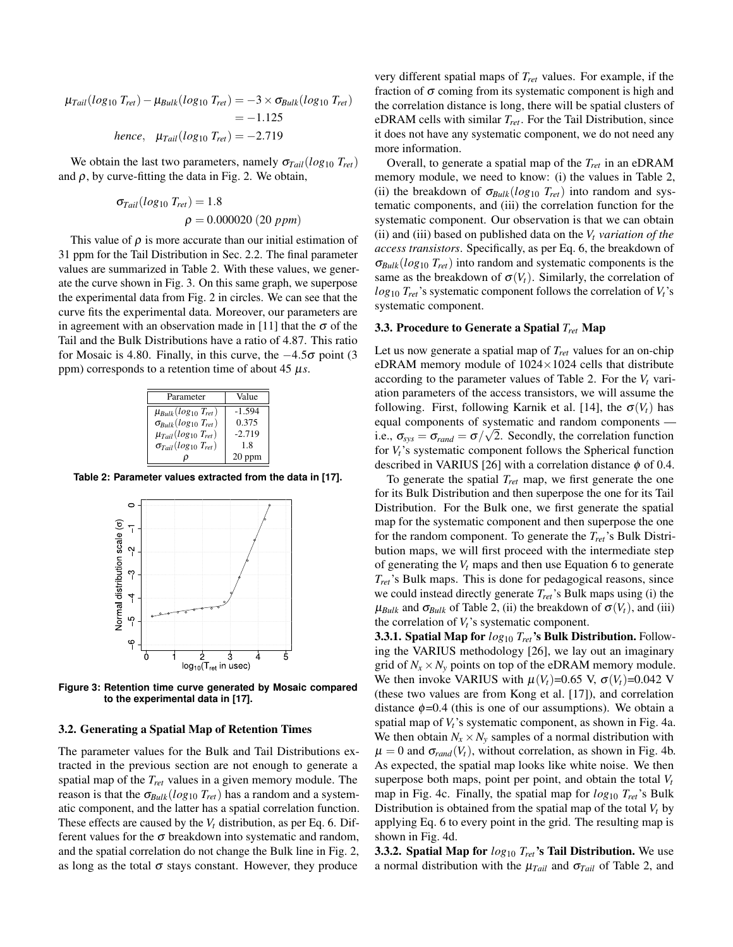$\mu_{Tail}(log_{10} T_{ret}) - \mu_{Bulk}(log_{10} T_{ret}) = -3 \times \sigma_{Bulk}(log_{10} T_{ret})$  $=-1.125$ *hence*,  $\mu_{Tail}(log_{10} T_{ret}) = -2.719$ 

We obtain the last two parameters, namely  $\sigma_{Tail}(log_{10} T_{ret})$ and  $\rho$ , by curve-fitting the data in Fig. 2. We obtain,

$$
\sigma_{Tail}(log_{10} T_{ret}) = 1.8
$$
  

$$
\rho = 0.000020 (20 ppm)
$$

This value of  $\rho$  is more accurate than our initial estimation of 31 ppm for the Tail Distribution in Sec. 2.2. The final parameter values are summarized in Table 2. With these values, we generate the curve shown in Fig. 3. On this same graph, we superpose the experimental data from Fig. 2 in circles. We can see that the curve fits the experimental data. Moreover, our parameters are in agreement with an observation made in [11] that the  $\sigma$  of the Tail and the Bulk Distributions have a ratio of 4.87. This ratio for Mosaic is 4.80. Finally, in this curve, the  $-4.5\sigma$  point (3 ppm) corresponds to a retention time of about  $45 \mu s$ .

| Parameter                         | Value    |
|-----------------------------------|----------|
| $\mu_{Bulk}(log_{10} T_{ret})$    | $-1.594$ |
| $\sigma_{Bulk}(log_{10} T_{ret})$ | 0.375    |
| $\mu_{Tail}(log_{10} T_{ret})$    | $-2.719$ |
| $\sigma_{Tail}(log_{10} T_{ret})$ | 18       |
|                                   | $20$ ppm |

**Table 2: Parameter values extracted from the data in [17].**



**Figure 3: Retention time curve generated by Mosaic compared to the experimental data in [17].**

### 3.2. Generating a Spatial Map of Retention Times

The parameter values for the Bulk and Tail Distributions extracted in the previous section are not enough to generate a spatial map of the *Tret* values in a given memory module. The reason is that the  $\sigma_{Bulk}(log_{10} T_{ret})$  has a random and a systematic component, and the latter has a spatial correlation function. These effects are caused by the  $V_t$  distribution, as per Eq. 6. Different values for the  $\sigma$  breakdown into systematic and random, and the spatial correlation do not change the Bulk line in Fig. 2, as long as the total  $\sigma$  stays constant. However, they produce

very different spatial maps of *Tret* values. For example, if the fraction of  $\sigma$  coming from its systematic component is high and the correlation distance is long, there will be spatial clusters of eDRAM cells with similar *Tret* . For the Tail Distribution, since it does not have any systematic component, we do not need any more information.

Overall, to generate a spatial map of the *Tret* in an eDRAM memory module, we need to know: (i) the values in Table 2, (ii) the breakdown of  $\sigma_{Bulk}(log_{10} T_{ret})$  into random and systematic components, and (iii) the correlation function for the systematic component. Our observation is that we can obtain (ii) and (iii) based on published data on the *V<sup>t</sup> variation of the access transistors*. Specifically, as per Eq. 6, the breakdown of σ*Bulk*(*log*<sup>10</sup> *Tret*) into random and systematic components is the same as the breakdown of  $\sigma(V_t)$ . Similarly, the correlation of  $log_{10} T_{ret}$ 's systematic component follows the correlation of  $V_t$ 's systematic component.

# 3.3. Procedure to Generate a Spatial *Tret* Map

Let us now generate a spatial map of *Tret* values for an on-chip eDRAM memory module of  $1024 \times 1024$  cells that distribute according to the parameter values of Table 2. For the  $V_t$  variation parameters of the access transistors, we will assume the following. First, following Karnik et al. [14], the  $\sigma(V_t)$  has equal components of systematic and random components i.e.,  $\sigma_{sys} = \sigma_{rand} = \sigma / \sqrt{2}$ . Secondly, the correlation function for  $V_t$ 's systematic component follows the Spherical function described in VARIUS [26] with a correlation distance  $\phi$  of 0.4.

To generate the spatial *Tret* map, we first generate the one for its Bulk Distribution and then superpose the one for its Tail Distribution. For the Bulk one, we first generate the spatial map for the systematic component and then superpose the one for the random component. To generate the *Tret*'s Bulk Distribution maps, we will first proceed with the intermediate step of generating the *V<sup>t</sup>* maps and then use Equation 6 to generate *Tret*'s Bulk maps. This is done for pedagogical reasons, since we could instead directly generate *Tret*'s Bulk maps using (i) the  $\mu_{Bulk}$  and  $\sigma_{Bulk}$  of Table 2, (ii) the breakdown of  $\sigma(V_t)$ , and (iii) the correlation of *Vt*'s systematic component.

3.3.1. Spatial Map for *log*<sup>10</sup> *Tret*'s Bulk Distribution. Following the VARIUS methodology [26], we lay out an imaginary grid of  $N_x \times N_y$  points on top of the eDRAM memory module. We then invoke VARIUS with  $\mu(V_t)$ =0.65 V,  $\sigma(V_t)$ =0.042 V (these two values are from Kong et al. [17]), and correlation distance  $\phi$ =0.4 (this is one of our assumptions). We obtain a spatial map of *Vt*'s systematic component, as shown in Fig. 4a. We then obtain  $N_x \times N_y$  samples of a normal distribution with  $\mu = 0$  and  $\sigma_{rand}(V_t)$ , without correlation, as shown in Fig. 4b. As expected, the spatial map looks like white noise. We then superpose both maps, point per point, and obtain the total  $V_t$ map in Fig. 4c. Finally, the spatial map for *log*<sup>10</sup> *Tret*'s Bulk Distribution is obtained from the spatial map of the total *V<sup>t</sup>* by applying Eq. 6 to every point in the grid. The resulting map is shown in Fig. 4d.

3.3.2. Spatial Map for *log*<sup>10</sup> *Tret*'s Tail Distribution. We use a normal distribution with the  $\mu_{Tail}$  and  $\sigma_{Tail}$  of Table 2, and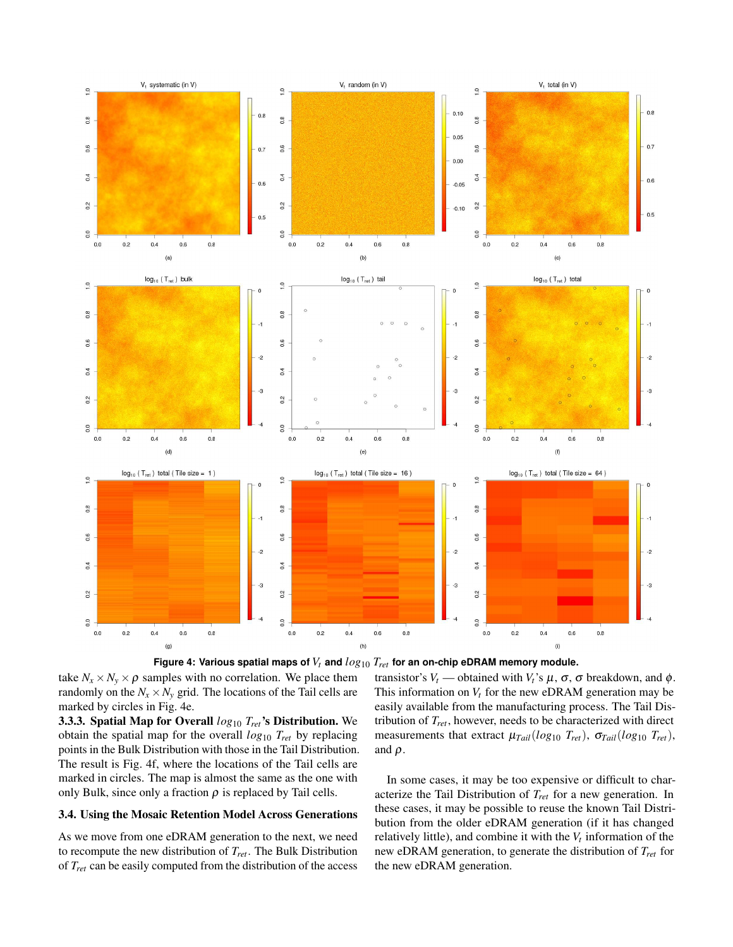



take  $N_x \times N_y \times \rho$  samples with no correlation. We place them randomly on the  $N_x \times N_y$  grid. The locations of the Tail cells are marked by circles in Fig. 4e.

3.3.3. Spatial Map for Overall *log*<sup>10</sup> *Tret*'s Distribution. We obtain the spatial map for the overall *log*<sup>10</sup> *Tret* by replacing points in the Bulk Distribution with those in the Tail Distribution. The result is Fig. 4f, where the locations of the Tail cells are marked in circles. The map is almost the same as the one with only Bulk, since only a fraction  $\rho$  is replaced by Tail cells.

# 3.4. Using the Mosaic Retention Model Across Generations

As we move from one eDRAM generation to the next, we need to recompute the new distribution of *Tret* . The Bulk Distribution of *Tret* can be easily computed from the distribution of the access transistor's  $V_t$  — obtained with  $V_t$ 's  $\mu$ ,  $\sigma$ ,  $\sigma$  breakdown, and  $\phi$ . This information on  $V_t$  for the new eDRAM generation may be easily available from the manufacturing process. The Tail Distribution of *Tret* , however, needs to be characterized with direct measurements that extract  $\mu_{Tail}(log_{10} T_{ret})$ ,  $\sigma_{Tail}(log_{10} T_{ret})$ , and  $\rho$ .

In some cases, it may be too expensive or difficult to characterize the Tail Distribution of *Tret* for a new generation. In these cases, it may be possible to reuse the known Tail Distribution from the older eDRAM generation (if it has changed relatively little), and combine it with the *V<sup>t</sup>* information of the new eDRAM generation, to generate the distribution of *Tret* for the new eDRAM generation.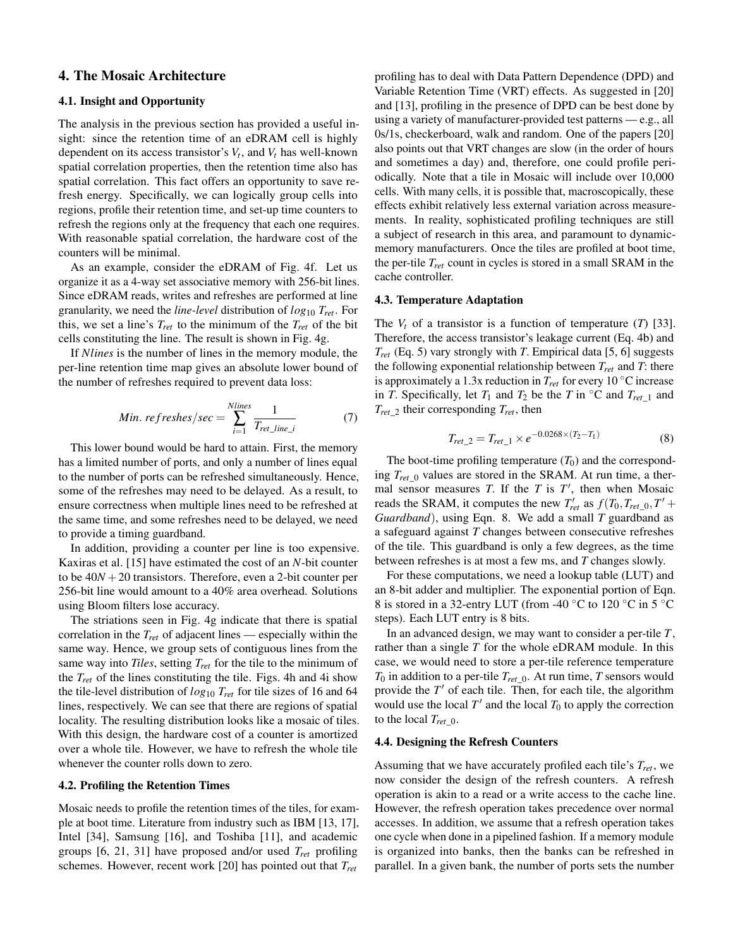# 4. The Mosaic Architecture

# 4.1. Insight and Opportunity

The analysis in the previous section has provided a useful insight: since the retention time of an eDRAM cell is highly dependent on its access transistor's  $V_t$ , and  $V_t$  has well-known spatial correlation properties, then the retention time also has spatial correlation. This fact offers an opportunity to save refresh energy. Specifically, we can logically group cells into regions, profile their retention time, and set-up time counters to refresh the regions only at the frequency that each one requires. With reasonable spatial correlation, the hardware cost of the counters will be minimal.

As an example, consider the eDRAM of Fig. 4f. Let us organize it as a 4-way set associative memory with 256-bit lines. Since eDRAM reads, writes and refreshes are performed at line granularity, we need the *line-level* distribution of *log*<sup>10</sup> *Tret* . For this, we set a line's  $T_{ret}$  to the minimum of the  $T_{ret}$  of the bit cells constituting the line. The result is shown in Fig. 4g.

If *Nlines* is the number of lines in the memory module, the per-line retention time map gives an absolute lower bound of the number of refreshes required to prevent data loss:

Min. 
$$
refreshes/sec = \sum_{i=1}^{Nlines} \frac{1}{T_{ret\_line\_i}}
$$
 (7)

This lower bound would be hard to attain. First, the memory has a limited number of ports, and only a number of lines equal to the number of ports can be refreshed simultaneously. Hence, some of the refreshes may need to be delayed. As a result, to ensure correctness when multiple lines need to be refreshed at the same time, and some refreshes need to be delayed, we need to provide a timing guardband.

In addition, providing a counter per line is too expensive. Kaxiras et al. [15] have estimated the cost of an *N*-bit counter to be  $40N + 20$  transistors. Therefore, even a 2-bit counter per 256-bit line would amount to a 40% area overhead. Solutions using Bloom filters lose accuracy.

The striations seen in Fig. 4g indicate that there is spatial correlation in the *Tret* of adjacent lines — especially within the same way. Hence, we group sets of contiguous lines from the same way into *Tiles*, setting *Tret* for the tile to the minimum of the  $T_{ret}$  of the lines constituting the tile. Figs. 4h and 4i show the tile-level distribution of *log*<sup>10</sup> *Tret* for tile sizes of 16 and 64 lines, respectively. We can see that there are regions of spatial locality. The resulting distribution looks like a mosaic of tiles. With this design, the hardware cost of a counter is amortized over a whole tile. However, we have to refresh the whole tile whenever the counter rolls down to zero.

### 4.2. Profiling the Retention Times

Mosaic needs to profile the retention times of the tiles, for example at boot time. Literature from industry such as IBM [13, 17], Intel [34], Samsung [16], and Toshiba [11], and academic groups [6, 21, 31] have proposed and/or used *Tret* profiling schemes. However, recent work [20] has pointed out that *Tret*

profiling has to deal with Data Pattern Dependence (DPD) and Variable Retention Time (VRT) effects. As suggested in [20] and [13], profiling in the presence of DPD can be best done by using a variety of manufacturer-provided test patterns — e.g., all 0s/1s, checkerboard, walk and random. One of the papers [20] also points out that VRT changes are slow (in the order of hours and sometimes a day) and, therefore, one could profile periodically. Note that a tile in Mosaic will include over 10,000 cells. With many cells, it is possible that, macroscopically, these effects exhibit relatively less external variation across measurements. In reality, sophisticated profiling techniques are still a subject of research in this area, and paramount to dynamicmemory manufacturers. Once the tiles are profiled at boot time, the per-tile *Tret* count in cycles is stored in a small SRAM in the cache controller.

#### 4.3. Temperature Adaptation

The *V<sup>t</sup>* of a transistor is a function of temperature (*T*) [33]. Therefore, the access transistor's leakage current (Eq. 4b) and *Tret* (Eq. 5) vary strongly with *T*. Empirical data [5, 6] suggests the following exponential relationship between *Tret* and *T*: there is approximately a 1.3x reduction in *Tret* for every 10 ◦C increase in *T*. Specifically, let  $T_1$  and  $T_2$  be the *T* in  $\textdegree$ C and  $T_{ret\_1}$  and *Tret*\_2 their corresponding *Tret* , then

$$
T_{ret\_2} = T_{ret\_1} \times e^{-0.0268 \times (T_2 - T_1)}
$$
\n(8)

The boot-time profiling temperature  $(T_0)$  and the corresponding  $T_{ret}$  o values are stored in the SRAM. At run time, a thermal sensor measures *T*. If the *T* is  $T'$ , then when Mosaic reads the SRAM, it computes the new  $T'_{ret}$  as  $f(T_0, T_{ret_0}, T' + T_0)$ *Guardband*), using Eqn. 8. We add a small *T* guardband as a safeguard against *T* changes between consecutive refreshes of the tile. This guardband is only a few degrees, as the time between refreshes is at most a few ms, and *T* changes slowly.

For these computations, we need a lookup table (LUT) and an 8-bit adder and multiplier. The exponential portion of Eqn. 8 is stored in a 32-entry LUT (from -40  $^{\circ}$ C to 120  $^{\circ}$ C in 5  $^{\circ}$ C steps). Each LUT entry is 8 bits.

In an advanced design, we may want to consider a per-tile *T*, rather than a single *T* for the whole eDRAM module. In this case, we would need to store a per-tile reference temperature  $T_0$  in addition to a per-tile  $T_{ret\_0}$ . At run time, *T* sensors would provide the *T* ′ of each tile. Then, for each tile, the algorithm would use the local  $T'$  and the local  $T_0$  to apply the correction to the local  $T_{ret}$   $_0$ .

# 4.4. Designing the Refresh Counters

Assuming that we have accurately profiled each tile's *Tret* , we now consider the design of the refresh counters. A refresh operation is akin to a read or a write access to the cache line. However, the refresh operation takes precedence over normal accesses. In addition, we assume that a refresh operation takes one cycle when done in a pipelined fashion. If a memory module is organized into banks, then the banks can be refreshed in parallel. In a given bank, the number of ports sets the number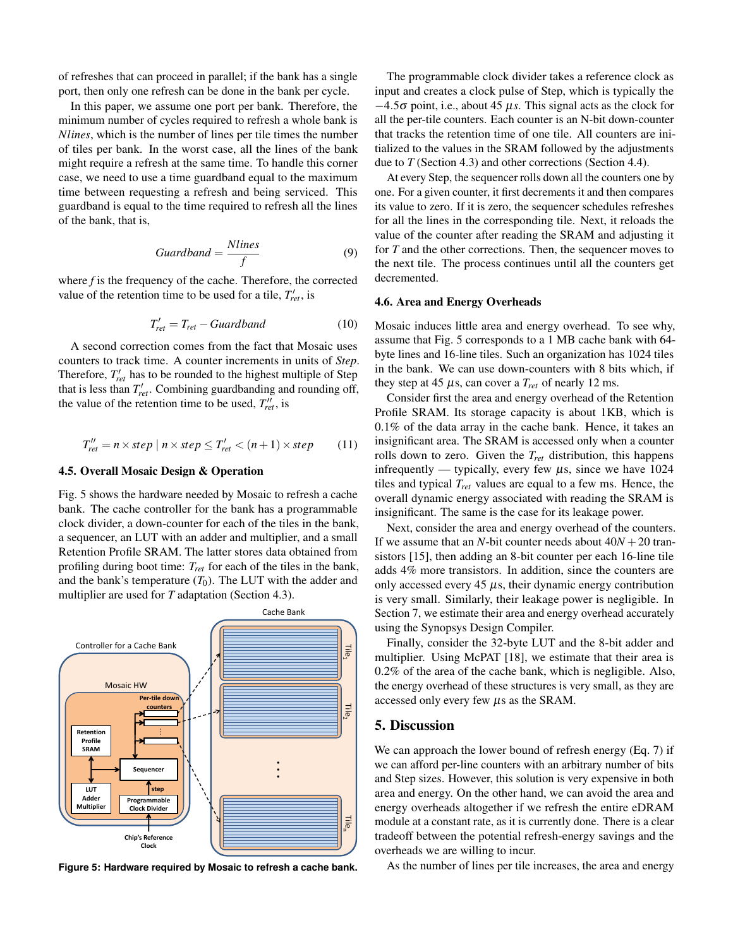of refreshes that can proceed in parallel; if the bank has a single port, then only one refresh can be done in the bank per cycle.

In this paper, we assume one port per bank. Therefore, the minimum number of cycles required to refresh a whole bank is *Nlines*, which is the number of lines per tile times the number of tiles per bank. In the worst case, all the lines of the bank might require a refresh at the same time. To handle this corner case, we need to use a time guardband equal to the maximum time between requesting a refresh and being serviced. This guardband is equal to the time required to refresh all the lines of the bank, that is,

$$
Guardband = \frac{Nlines}{f}
$$
 (9)

where *f* is the frequency of the cache. Therefore, the corrected value of the retention time to be used for a tile,  $T'_{ret}$ , is

$$
T'_{ret} = T_{ret} - Guardband \tag{10}
$$

A second correction comes from the fact that Mosaic uses counters to track time. A counter increments in units of *Step*. Therefore,  $T'_{ret}$  has to be rounded to the highest multiple of Step that is less than  $T'_{ret}$ . Combining guardbanding and rounding off, the value of the retention time to be used,  $T''_{ret}$ , is

$$
T''_{ret} = n \times step \mid n \times step \le T'_{ret} < (n+1) \times step \tag{11}
$$

### 4.5. Overall Mosaic Design & Operation

Fig. 5 shows the hardware needed by Mosaic to refresh a cache bank. The cache controller for the bank has a programmable clock divider, a down-counter for each of the tiles in the bank, a sequencer, an LUT with an adder and multiplier, and a small Retention Profile SRAM. The latter stores data obtained from profiling during boot time: *Tret* for each of the tiles in the bank, and the bank's temperature  $(T_0)$ . The LUT with the adder and multiplier are used for *T* adaptation (Section 4.3).



**Figure 5: Hardware required by Mosaic to refresh a cache bank.**

The programmable clock divider takes a reference clock as input and creates a clock pulse of Step, which is typically the  $-4.5\sigma$  point, i.e., about 45  $\mu$ s. This signal acts as the clock for all the per-tile counters. Each counter is an N-bit down-counter that tracks the retention time of one tile. All counters are initialized to the values in the SRAM followed by the adjustments due to *T* (Section 4.3) and other corrections (Section 4.4).

At every Step, the sequencer rolls down all the counters one by one. For a given counter, it first decrements it and then compares its value to zero. If it is zero, the sequencer schedules refreshes for all the lines in the corresponding tile. Next, it reloads the value of the counter after reading the SRAM and adjusting it for *T* and the other corrections. Then, the sequencer moves to the next tile. The process continues until all the counters get decremented.

### 4.6. Area and Energy Overheads

Mosaic induces little area and energy overhead. To see why, assume that Fig. 5 corresponds to a 1 MB cache bank with 64 byte lines and 16-line tiles. Such an organization has 1024 tiles in the bank. We can use down-counters with 8 bits which, if they step at 45  $\mu$ s, can cover a  $T_{ret}$  of nearly 12 ms.

Consider first the area and energy overhead of the Retention Profile SRAM. Its storage capacity is about 1KB, which is 0.1% of the data array in the cache bank. Hence, it takes an insignificant area. The SRAM is accessed only when a counter rolls down to zero. Given the *Tret* distribution, this happens infrequently — typically, every few  $\mu$ s, since we have 1024 tiles and typical *Tret* values are equal to a few ms. Hence, the overall dynamic energy associated with reading the SRAM is insignificant. The same is the case for its leakage power.

Next, consider the area and energy overhead of the counters. If we assume that an *N*-bit counter needs about  $40N + 20$  transistors [15], then adding an 8-bit counter per each 16-line tile adds 4% more transistors. In addition, since the counters are only accessed every 45  $\mu$ s, their dynamic energy contribution is very small. Similarly, their leakage power is negligible. In Section 7, we estimate their area and energy overhead accurately using the Synopsys Design Compiler.

Finally, consider the 32-byte LUT and the 8-bit adder and multiplier. Using McPAT [18], we estimate that their area is 0.2% of the area of the cache bank, which is negligible. Also, the energy overhead of these structures is very small, as they are accessed only every few µs as the SRAM.

# 5. Discussion

We can approach the lower bound of refresh energy (Eq. 7) if we can afford per-line counters with an arbitrary number of bits and Step sizes. However, this solution is very expensive in both area and energy. On the other hand, we can avoid the area and energy overheads altogether if we refresh the entire eDRAM module at a constant rate, as it is currently done. There is a clear tradeoff between the potential refresh-energy savings and the overheads we are willing to incur.

As the number of lines per tile increases, the area and energy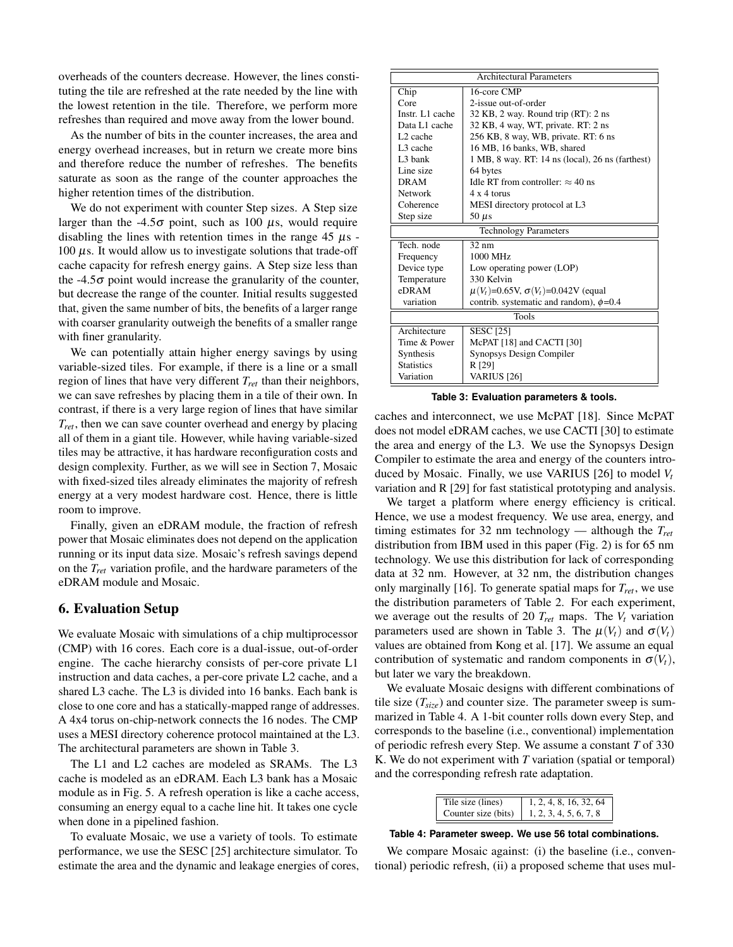overheads of the counters decrease. However, the lines constituting the tile are refreshed at the rate needed by the line with the lowest retention in the tile. Therefore, we perform more refreshes than required and move away from the lower bound.

As the number of bits in the counter increases, the area and energy overhead increases, but in return we create more bins and therefore reduce the number of refreshes. The benefits saturate as soon as the range of the counter approaches the higher retention times of the distribution.

We do not experiment with counter Step sizes. A Step size larger than the -4.5 $\sigma$  point, such as 100  $\mu$ s, would require disabling the lines with retention times in the range  $45 \mu s$  $100 \mu s$ . It would allow us to investigate solutions that trade-off cache capacity for refresh energy gains. A Step size less than the  $-4.5\sigma$  point would increase the granularity of the counter, but decrease the range of the counter. Initial results suggested that, given the same number of bits, the benefits of a larger range with coarser granularity outweigh the benefits of a smaller range with finer granularity.

We can potentially attain higher energy savings by using variable-sized tiles. For example, if there is a line or a small region of lines that have very different *Tret* than their neighbors, we can save refreshes by placing them in a tile of their own. In contrast, if there is a very large region of lines that have similar *Tret* , then we can save counter overhead and energy by placing all of them in a giant tile. However, while having variable-sized tiles may be attractive, it has hardware reconfiguration costs and design complexity. Further, as we will see in Section 7, Mosaic with fixed-sized tiles already eliminates the majority of refresh energy at a very modest hardware cost. Hence, there is little room to improve.

Finally, given an eDRAM module, the fraction of refresh power that Mosaic eliminates does not depend on the application running or its input data size. Mosaic's refresh savings depend on the *Tret* variation profile, and the hardware parameters of the eDRAM module and Mosaic.

# 6. Evaluation Setup

We evaluate Mosaic with simulations of a chip multiprocessor (CMP) with 16 cores. Each core is a dual-issue, out-of-order engine. The cache hierarchy consists of per-core private L1 instruction and data caches, a per-core private L2 cache, and a shared L3 cache. The L3 is divided into 16 banks. Each bank is close to one core and has a statically-mapped range of addresses. A 4x4 torus on-chip-network connects the 16 nodes. The CMP uses a MESI directory coherence protocol maintained at the L3. The architectural parameters are shown in Table 3.

The L1 and L2 caches are modeled as SRAMs. The L3 cache is modeled as an eDRAM. Each L3 bank has a Mosaic module as in Fig. 5. A refresh operation is like a cache access, consuming an energy equal to a cache line hit. It takes one cycle when done in a pipelined fashion.

To evaluate Mosaic, we use a variety of tools. To estimate performance, we use the SESC [25] architecture simulator. To estimate the area and the dynamic and leakage energies of cores,

| <b>Architectural Parameters</b> |                                                  |  |
|---------------------------------|--------------------------------------------------|--|
| Chip                            | 16-core CMP                                      |  |
| Core                            | 2-issue out-of-order                             |  |
| Instr. L1 cache                 | 32 KB, 2 way. Round trip (RT): 2 ns              |  |
| Data L1 cache                   | 32 KB, 4 way, WT, private. RT: 2 ns              |  |
| L <sub>2</sub> cache            | 256 KB, 8 way, WB, private. RT: 6 ns             |  |
| L <sub>3</sub> cache            | 16 MB, 16 banks, WB, shared                      |  |
| L <sub>3</sub> bank             | 1 MB, 8 way. RT: 14 ns (local), 26 ns (farthest) |  |
| Line size                       | 64 bytes                                         |  |
| <b>DRAM</b>                     | Idle RT from controller: $\approx 40$ ns         |  |
| <b>Network</b>                  | $4 \times 4$ torus                               |  |
| Coherence                       | MESI directory protocol at L3                    |  |
| Step size                       | 50 $\mu$ s                                       |  |
| <b>Technology Parameters</b>    |                                                  |  |
| Tech node                       | $32 \text{ nm}$                                  |  |
| Frequency                       | 1000 MHz                                         |  |
| Device type                     | Low operating power (LOP)                        |  |
| Temperature                     | 330 Kelvin                                       |  |
| eDRAM                           | $\mu(V_t)$ =0.65V, $\sigma(V_t)$ =0.042V (equal  |  |
| variation                       | contrib. systematic and random), $\phi$ =0.4     |  |
| Tools                           |                                                  |  |
| Architecture                    | <b>SESC</b> [25]                                 |  |
| Time & Power                    | McPAT [18] and CACTI [30]                        |  |
| Synthesis                       | Synopsys Design Compiler                         |  |
| <b>Statistics</b>               | R [29]                                           |  |
| Variation                       | <b>VARIUS</b> [26]                               |  |

**Table 3: Evaluation parameters & tools.**

caches and interconnect, we use McPAT [18]. Since McPAT does not model eDRAM caches, we use CACTI [30] to estimate the area and energy of the L3. We use the Synopsys Design Compiler to estimate the area and energy of the counters introduced by Mosaic. Finally, we use VARIUS [26] to model *V<sup>t</sup>* variation and R [29] for fast statistical prototyping and analysis.

We target a platform where energy efficiency is critical. Hence, we use a modest frequency. We use area, energy, and timing estimates for 32 nm technology — although the *Tret* distribution from IBM used in this paper (Fig. 2) is for 65 nm technology. We use this distribution for lack of corresponding data at 32 nm. However, at 32 nm, the distribution changes only marginally [16]. To generate spatial maps for *Tret* , we use the distribution parameters of Table 2. For each experiment, we average out the results of 20  $T_{ret}$  maps. The  $V_t$  variation parameters used are shown in Table 3. The  $\mu(V_t)$  and  $\sigma(V_t)$ values are obtained from Kong et al. [17]. We assume an equal contribution of systematic and random components in  $\sigma(V_t)$ , but later we vary the breakdown.

We evaluate Mosaic designs with different combinations of tile size  $(T_{size})$  and counter size. The parameter sweep is summarized in Table 4. A 1-bit counter rolls down every Step, and corresponds to the baseline (i.e., conventional) implementation of periodic refresh every Step. We assume a constant *T* of 330 K. We do not experiment with *T* variation (spatial or temporal) and the corresponding refresh rate adaptation.

| Tile size (lines)   | 1, 2, 4, 8, 16, 32, 64 |
|---------------------|------------------------|
| Counter size (bits) | 1, 2, 3, 4, 5, 6, 7, 8 |

**Table 4: Parameter sweep. We use 56 total combinations.**

We compare Mosaic against: (i) the baseline (i.e., conventional) periodic refresh, (ii) a proposed scheme that uses mul-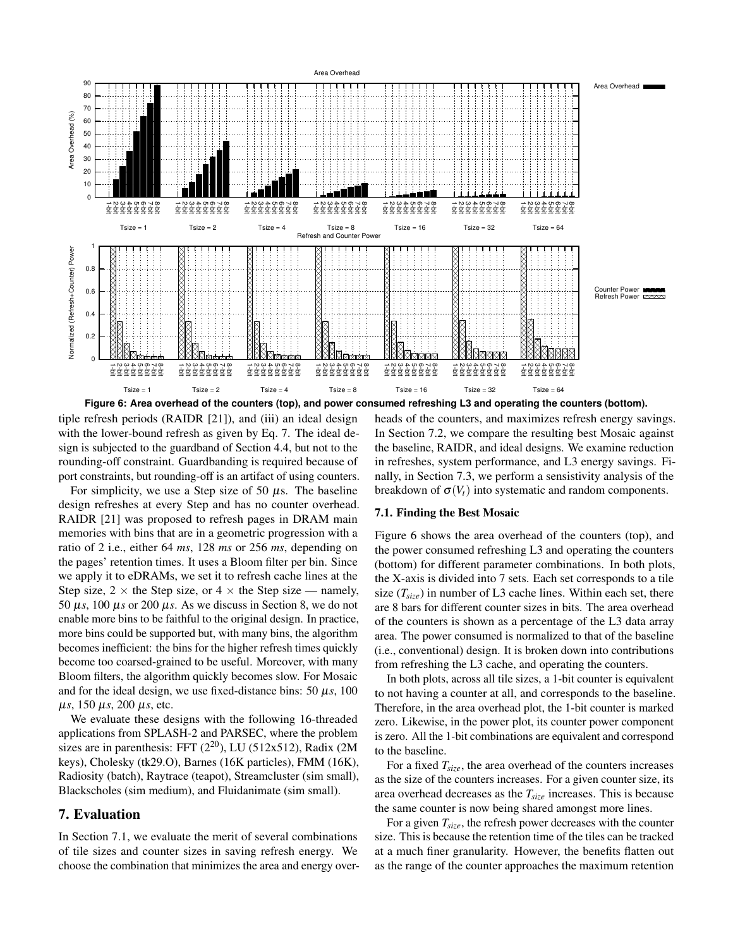

tiple refresh periods (RAIDR [21]), and (iii) an ideal design with the lower-bound refresh as given by Eq. 7. The ideal design is subjected to the guardband of Section 4.4, but not to the rounding-off constraint. Guardbanding is required because of port constraints, but rounding-off is an artifact of using counters.

For simplicity, we use a Step size of 50  $\mu$ s. The baseline design refreshes at every Step and has no counter overhead. RAIDR [21] was proposed to refresh pages in DRAM main memories with bins that are in a geometric progression with a ratio of 2 i.e., either 64 *ms*, 128 *ms* or 256 *ms*, depending on the pages' retention times. It uses a Bloom filter per bin. Since we apply it to eDRAMs, we set it to refresh cache lines at the Step size,  $2 \times$  the Step size, or  $4 \times$  the Step size — namely, 50  $\mu$ s, 100  $\mu$ s or 200  $\mu$ s. As we discuss in Section 8, we do not enable more bins to be faithful to the original design. In practice, more bins could be supported but, with many bins, the algorithm becomes inefficient: the bins for the higher refresh times quickly become too coarsed-grained to be useful. Moreover, with many Bloom filters, the algorithm quickly becomes slow. For Mosaic and for the ideal design, we use fixed-distance bins:  $50 \mu s$ ,  $100$ µ*s*, 150 µ*s*, 200 µ*s*, etc.

We evaluate these designs with the following 16-threaded applications from SPLASH-2 and PARSEC, where the problem sizes are in parenthesis: FFT  $(2^{20})$ , LU  $(512x512)$ , Radix  $(2M)$ keys), Cholesky (tk29.O), Barnes (16K particles), FMM (16K), Radiosity (batch), Raytrace (teapot), Streamcluster (sim small), Blackscholes (sim medium), and Fluidanimate (sim small).

# 7. Evaluation

In Section 7.1, we evaluate the merit of several combinations of tile sizes and counter sizes in saving refresh energy. We choose the combination that minimizes the area and energy overheads of the counters, and maximizes refresh energy savings. In Section 7.2, we compare the resulting best Mosaic against the baseline, RAIDR, and ideal designs. We examine reduction in refreshes, system performance, and L3 energy savings. Finally, in Section 7.3, we perform a sensistivity analysis of the breakdown of  $\sigma(V_t)$  into systematic and random components.

### 7.1. Finding the Best Mosaic

Figure 6 shows the area overhead of the counters (top), and the power consumed refreshing L3 and operating the counters (bottom) for different parameter combinations. In both plots, the X-axis is divided into 7 sets. Each set corresponds to a tile size  $(T_{size})$  in number of L3 cache lines. Within each set, there are 8 bars for different counter sizes in bits. The area overhead of the counters is shown as a percentage of the L3 data array area. The power consumed is normalized to that of the baseline (i.e., conventional) design. It is broken down into contributions from refreshing the L3 cache, and operating the counters.

In both plots, across all tile sizes, a 1-bit counter is equivalent to not having a counter at all, and corresponds to the baseline. Therefore, in the area overhead plot, the 1-bit counter is marked zero. Likewise, in the power plot, its counter power component is zero. All the 1-bit combinations are equivalent and correspond to the baseline.

For a fixed *Tsize*, the area overhead of the counters increases as the size of the counters increases. For a given counter size, its area overhead decreases as the *Tsize* increases. This is because the same counter is now being shared amongst more lines.

For a given *Tsize*, the refresh power decreases with the counter size. This is because the retention time of the tiles can be tracked at a much finer granularity. However, the benefits flatten out as the range of the counter approaches the maximum retention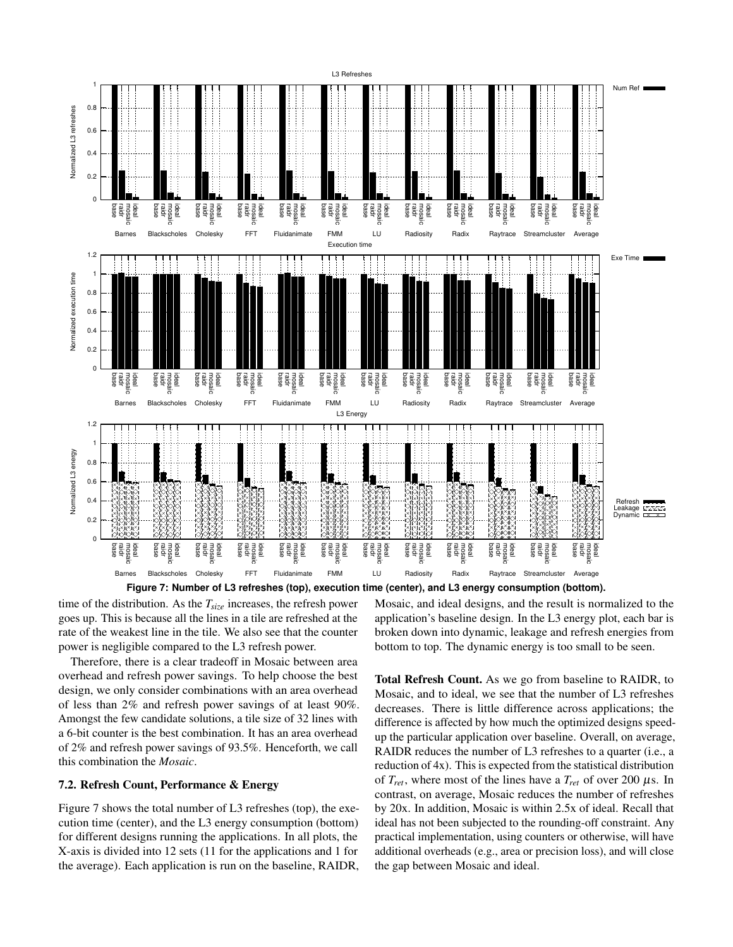

**Figure 7: Number of L3 refreshes (top), execution time (center), and L3 energy consumption (bottom).**

time of the distribution. As the *Tsize* increases, the refresh power goes up. This is because all the lines in a tile are refreshed at the rate of the weakest line in the tile. We also see that the counter power is negligible compared to the L3 refresh power.

Therefore, there is a clear tradeoff in Mosaic between area overhead and refresh power savings. To help choose the best design, we only consider combinations with an area overhead of less than 2% and refresh power savings of at least 90%. Amongst the few candidate solutions, a tile size of 32 lines with a 6-bit counter is the best combination. It has an area overhead of 2% and refresh power savings of 93.5%. Henceforth, we call this combination the *Mosaic*.

### 7.2. Refresh Count, Performance & Energy

Figure 7 shows the total number of L3 refreshes (top), the execution time (center), and the L3 energy consumption (bottom) for different designs running the applications. In all plots, the X-axis is divided into 12 sets (11 for the applications and 1 for the average). Each application is run on the baseline, RAIDR, Mosaic, and ideal designs, and the result is normalized to the application's baseline design. In the L3 energy plot, each bar is broken down into dynamic, leakage and refresh energies from bottom to top. The dynamic energy is too small to be seen.

Total Refresh Count. As we go from baseline to RAIDR, to Mosaic, and to ideal, we see that the number of L3 refreshes decreases. There is little difference across applications; the difference is affected by how much the optimized designs speedup the particular application over baseline. Overall, on average, RAIDR reduces the number of L3 refreshes to a quarter (i.e., a reduction of 4x). This is expected from the statistical distribution of  $T_{ret}$ , where most of the lines have a  $T_{ret}$  of over 200  $\mu$ s. In contrast, on average, Mosaic reduces the number of refreshes by 20x. In addition, Mosaic is within 2.5x of ideal. Recall that ideal has not been subjected to the rounding-off constraint. Any practical implementation, using counters or otherwise, will have additional overheads (e.g., area or precision loss), and will close the gap between Mosaic and ideal.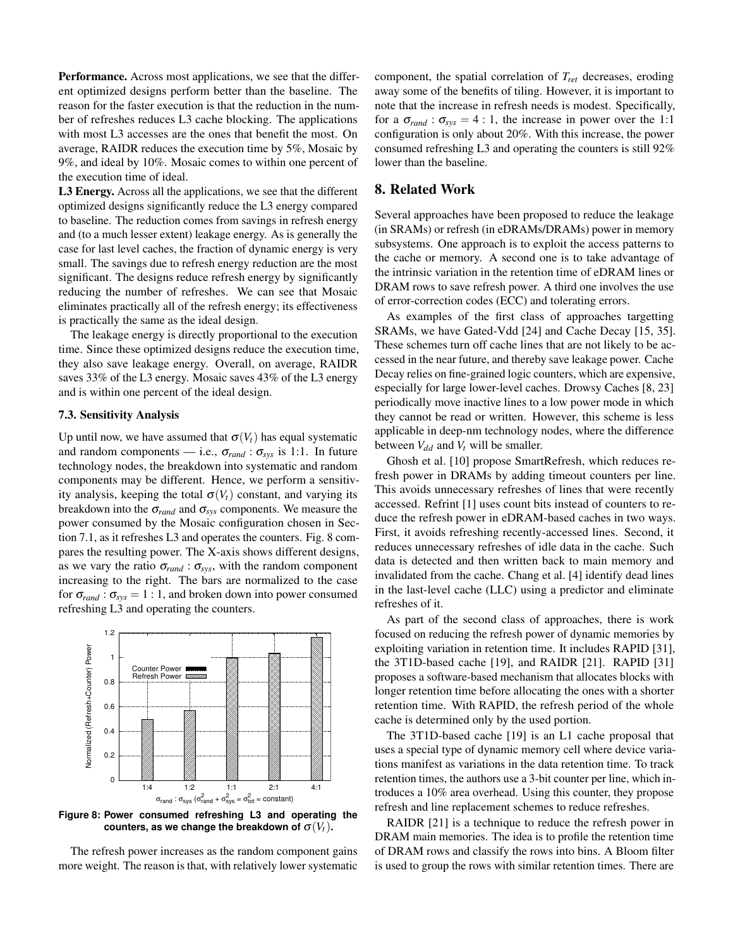Performance. Across most applications, we see that the different optimized designs perform better than the baseline. The reason for the faster execution is that the reduction in the number of refreshes reduces L3 cache blocking. The applications with most L3 accesses are the ones that benefit the most. On average, RAIDR reduces the execution time by 5%, Mosaic by 9%, and ideal by 10%. Mosaic comes to within one percent of the execution time of ideal.

L3 Energy. Across all the applications, we see that the different optimized designs significantly reduce the L3 energy compared to baseline. The reduction comes from savings in refresh energy and (to a much lesser extent) leakage energy. As is generally the case for last level caches, the fraction of dynamic energy is very small. The savings due to refresh energy reduction are the most significant. The designs reduce refresh energy by significantly reducing the number of refreshes. We can see that Mosaic eliminates practically all of the refresh energy; its effectiveness is practically the same as the ideal design.

The leakage energy is directly proportional to the execution time. Since these optimized designs reduce the execution time, they also save leakage energy. Overall, on average, RAIDR saves 33% of the L3 energy. Mosaic saves 43% of the L3 energy and is within one percent of the ideal design.

# 7.3. Sensitivity Analysis

Up until now, we have assumed that  $\sigma(V_t)$  has equal systematic and random components — i.e.,  $\sigma_{rand}$ :  $\sigma_{sys}$  is 1:1. In future technology nodes, the breakdown into systematic and random components may be different. Hence, we perform a sensitivity analysis, keeping the total  $\sigma(V_t)$  constant, and varying its breakdown into the  $\sigma_{rand}$  and  $\sigma_{sys}$  components. We measure the power consumed by the Mosaic configuration chosen in Section 7.1, as it refreshes L3 and operates the counters. Fig. 8 compares the resulting power. The X-axis shows different designs, as we vary the ratio  $\sigma_{rand}$ :  $\sigma_{sys}$ , with the random component increasing to the right. The bars are normalized to the case for  $\sigma_{rand}$ :  $\sigma_{sys} = 1$ : 1, and broken down into power consumed refreshing L3 and operating the counters.



**Figure 8: Power consumed refreshing L3 and operating the counters, as we change the breakdown of**  $\sigma(V_t)$ **.** 

The refresh power increases as the random component gains more weight. The reason is that, with relatively lower systematic component, the spatial correlation of *Tret* decreases, eroding away some of the benefits of tiling. However, it is important to note that the increase in refresh needs is modest. Specifically, for a  $\sigma_{rand}$ :  $\sigma_{sys} = 4$ : 1, the increase in power over the 1:1 configuration is only about 20%. With this increase, the power consumed refreshing L3 and operating the counters is still 92% lower than the baseline.

# 8. Related Work

Several approaches have been proposed to reduce the leakage (in SRAMs) or refresh (in eDRAMs/DRAMs) power in memory subsystems. One approach is to exploit the access patterns to the cache or memory. A second one is to take advantage of the intrinsic variation in the retention time of eDRAM lines or DRAM rows to save refresh power. A third one involves the use of error-correction codes (ECC) and tolerating errors.

As examples of the first class of approaches targetting SRAMs, we have Gated-Vdd [24] and Cache Decay [15, 35]. These schemes turn off cache lines that are not likely to be accessed in the near future, and thereby save leakage power. Cache Decay relies on fine-grained logic counters, which are expensive, especially for large lower-level caches. Drowsy Caches [8, 23] periodically move inactive lines to a low power mode in which they cannot be read or written. However, this scheme is less applicable in deep-nm technology nodes, where the difference between  $V_{dd}$  and  $V_t$  will be smaller.

Ghosh et al. [10] propose SmartRefresh, which reduces refresh power in DRAMs by adding timeout counters per line. This avoids unnecessary refreshes of lines that were recently accessed. Refrint [1] uses count bits instead of counters to reduce the refresh power in eDRAM-based caches in two ways. First, it avoids refreshing recently-accessed lines. Second, it reduces unnecessary refreshes of idle data in the cache. Such data is detected and then written back to main memory and invalidated from the cache. Chang et al. [4] identify dead lines in the last-level cache (LLC) using a predictor and eliminate refreshes of it.

As part of the second class of approaches, there is work focused on reducing the refresh power of dynamic memories by exploiting variation in retention time. It includes RAPID [31], the 3T1D-based cache [19], and RAIDR [21]. RAPID [31] proposes a software-based mechanism that allocates blocks with longer retention time before allocating the ones with a shorter retention time. With RAPID, the refresh period of the whole cache is determined only by the used portion.

The 3T1D-based cache [19] is an L1 cache proposal that uses a special type of dynamic memory cell where device variations manifest as variations in the data retention time. To track retention times, the authors use a 3-bit counter per line, which introduces a 10% area overhead. Using this counter, they propose refresh and line replacement schemes to reduce refreshes.

RAIDR [21] is a technique to reduce the refresh power in DRAM main memories. The idea is to profile the retention time of DRAM rows and classify the rows into bins. A Bloom filter is used to group the rows with similar retention times. There are